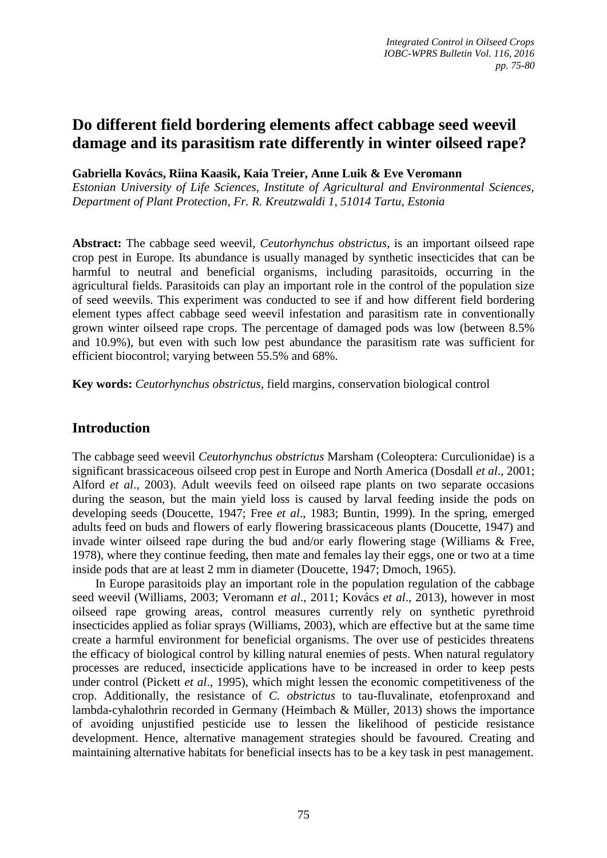# **Do different field bordering elements affect cabbage seed weevil damage and its parasitism rate differently in winter oilseed rape?**

**Gabriella Kovács, Riina Kaasik, Kaia Treier, Anne Luik & Eve Veromann**

*Estonian University of Life Sciences, Institute of Agricultural and Environmental Sciences, Department of Plant Protection, Fr. R. Kreutzwaldi 1, 51014 Tartu, Estonia*

**Abstract:** The cabbage seed weevil, *Ceutorhynchus obstrictus*, is an important oilseed rape crop pest in Europe. Its abundance is usually managed by synthetic insecticides that can be harmful to neutral and beneficial organisms, including parasitoids, occurring in the agricultural fields. Parasitoids can play an important role in the control of the population size of seed weevils. This experiment was conducted to see if and how different field bordering element types affect cabbage seed weevil infestation and parasitism rate in conventionally grown winter oilseed rape crops. The percentage of damaged pods was low (between 8.5% and 10.9%), but even with such low pest abundance the parasitism rate was sufficient for efficient biocontrol; varying between 55.5% and 68%.

**Key words:** *Ceutorhynchus obstrictus*, field margins, conservation biological control

# **Introduction**

The cabbage seed weevil *Ceutorhynchus obstrictus* Marsham (Coleoptera: Curculionidae) is a significant brassicaceous oilseed crop pest in Europe and North America (Dosdall *et al*., 2001; Alford *et al*., 2003). Adult weevils feed on oilseed rape plants on two separate occasions during the season, but the main yield loss is caused by larval feeding inside the pods on developing seeds (Doucette, 1947; Free *et al*., 1983; Buntin, 1999). In the spring, emerged adults feed on buds and flowers of early flowering brassicaceous plants (Doucette, 1947) and invade winter oilseed rape during the bud and/or early flowering stage (Williams & Free, 1978), where they continue feeding, then mate and females lay their eggs, one or two at a time inside pods that are at least 2 mm in diameter (Doucette, 1947; Dmoch, 1965).

In Europe parasitoids play an important role in the population regulation of the cabbage seed weevil (Williams, 2003; Veromann *et al*., 2011; Kovács *et al*., 2013), however in most oilseed rape growing areas, control measures currently rely on synthetic pyrethroid insecticides applied as foliar sprays (Williams, 2003), which are effective but at the same time create a harmful environment for beneficial organisms. The over use of pesticides threatens the efficacy of biological control by killing natural enemies of pests. When natural regulatory processes are reduced, insecticide applications have to be increased in order to keep pests under control (Pickett *et al*., 1995), which might lessen the economic competitiveness of the crop. Additionally, the resistance of *C. obstrictus* to tau-fluvalinate, etofenproxand and lambda-cyhalothrin recorded in Germany (Heimbach & Müller, 2013) shows the importance of avoiding unjustified pesticide use to lessen the likelihood of pesticide resistance development. Hence, alternative management strategies should be favoured. Creating and maintaining alternative habitats for beneficial insects has to be a key task in pest management.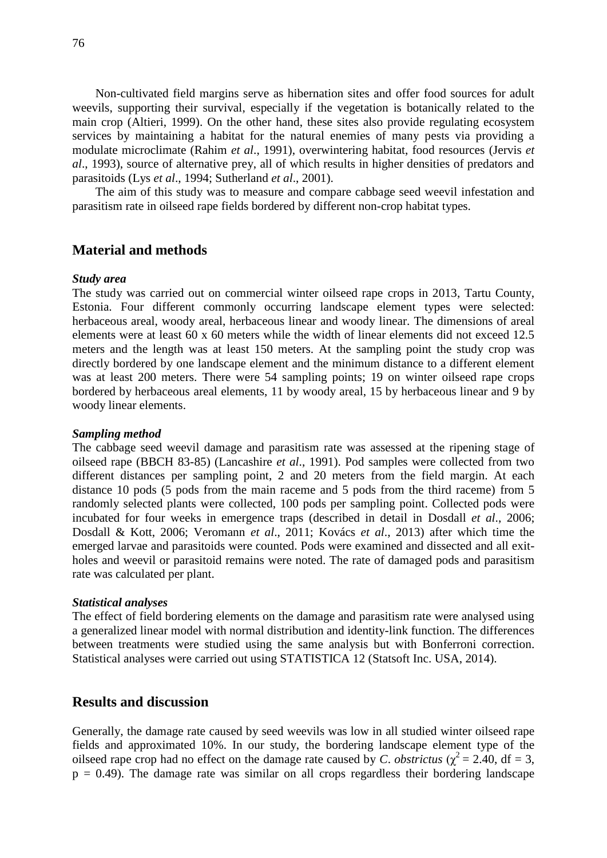Non-cultivated field margins serve as hibernation sites and offer food sources for adult weevils, supporting their survival, especially if the vegetation is botanically related to the main crop (Altieri, 1999). On the other hand, these sites also provide regulating ecosystem services by maintaining a habitat for the natural enemies of many pests via providing a modulate microclimate (Rahim *et al*., 1991), overwintering habitat, food resources (Jervis *et al*., 1993), source of alternative prey, all of which results in higher densities of predators and parasitoids (Lys *et al*., 1994; Sutherland *et al*., 2001).

The aim of this study was to measure and compare cabbage seed weevil infestation and parasitism rate in oilseed rape fields bordered by different non-crop habitat types.

# **Material and methods**

#### *Study area*

The study was carried out on commercial winter oilseed rape crops in 2013, Tartu County, Estonia. Four different commonly occurring landscape element types were selected: herbaceous areal, woody areal, herbaceous linear and woody linear. The dimensions of areal elements were at least 60 x 60 meters while the width of linear elements did not exceed 12.5 meters and the length was at least 150 meters. At the sampling point the study crop was directly bordered by one landscape element and the minimum distance to a different element was at least 200 meters. There were 54 sampling points; 19 on winter oilseed rape crops bordered by herbaceous areal elements, 11 by woody areal, 15 by herbaceous linear and 9 by woody linear elements.

#### *Sampling method*

The cabbage seed weevil damage and parasitism rate was assessed at the ripening stage of oilseed rape (BBCH 83-85) (Lancashire *et al*., 1991). Pod samples were collected from two different distances per sampling point, 2 and 20 meters from the field margin. At each distance 10 pods (5 pods from the main raceme and 5 pods from the third raceme) from 5 randomly selected plants were collected, 100 pods per sampling point. Collected pods were incubated for four weeks in emergence traps (described in detail in Dosdall *et al*., 2006; Dosdall & Kott, 2006; Veromann *et al*., 2011; Kovács *et al*., 2013) after which time the emerged larvae and parasitoids were counted. Pods were examined and dissected and all exitholes and weevil or parasitoid remains were noted. The rate of damaged pods and parasitism rate was calculated per plant.

#### *Statistical analyses*

The effect of field bordering elements on the damage and parasitism rate were analysed using a generalized linear model with normal distribution and identity-link function. The differences between treatments were studied using the same analysis but with Bonferroni correction. Statistical analyses were carried out using STATISTICA 12 (Statsoft Inc. USA, 2014).

# **Results and discussion**

Generally, the damage rate caused by seed weevils was low in all studied winter oilseed rape fields and approximated 10%. In our study, the bordering landscape element type of the oilseed rape crop had no effect on the damage rate caused by *C*. *obstrictus* ( $\chi^2 = 2.40$ , df = 3,  $p = 0.49$ ). The damage rate was similar on all crops regardless their bordering landscape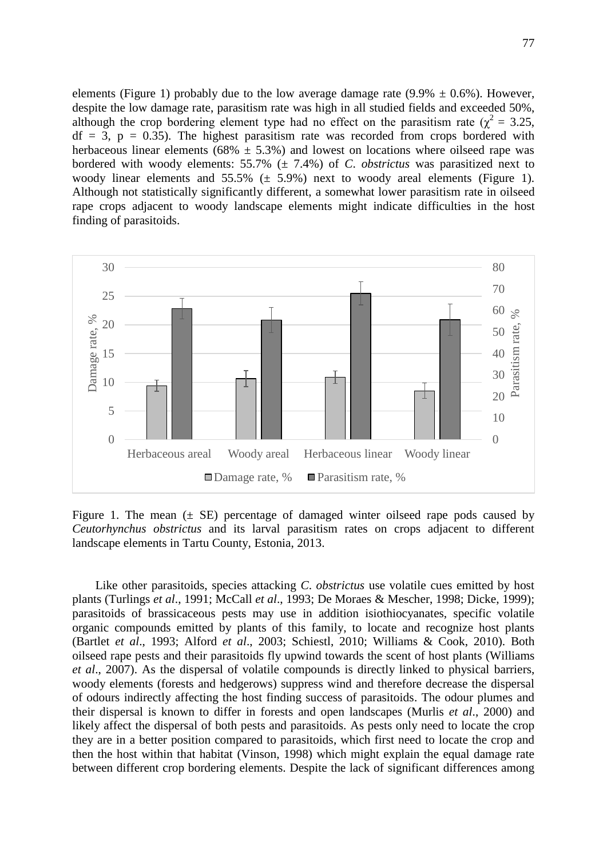elements (Figure 1) probably due to the low average damage rate  $(9.9\% \pm 0.6\%)$ . However, despite the low damage rate, parasitism rate was high in all studied fields and exceeded 50%, although the crop bordering element type had no effect on the parasitism rate ( $\chi^2 = 3.25$ ,  $df = 3$ ,  $p = 0.35$ ). The highest parasitism rate was recorded from crops bordered with herbaceous linear elements (68%  $\pm$  5.3%) and lowest on locations where oilseed rape was bordered with woody elements: 55.7% (± 7.4%) of *C*. *obstrictus* was parasitized next to woody linear elements and  $55.5\%$  ( $\pm$  5.9%) next to woody areal elements (Figure 1). Although not statistically significantly different, a somewhat lower parasitism rate in oilseed rape crops adjacent to woody landscape elements might indicate difficulties in the host finding of parasitoids.



Figure 1. The mean  $(\pm \text{ SE})$  percentage of damaged winter oilseed rape pods caused by *Ceutorhynchus obstrictus* and its larval parasitism rates on crops adjacent to different landscape elements in Tartu County, Estonia, 2013.

Like other parasitoids, species attacking *C*. *obstrictus* use volatile cues emitted by host plants (Turlings *et al*., 1991; McCall *et al*., 1993; De Moraes & Mescher, 1998; Dicke, 1999); parasitoids of brassicaceous pests may use in addition isiothiocyanates, specific volatile organic compounds emitted by plants of this family, to locate and recognize host plants (Bartlet *et al*., 1993; Alford *et al*., 2003; Schiestl, 2010; Williams & Cook, 2010). Both oilseed rape pests and their parasitoids fly upwind towards the scent of host plants (Williams *et al*., 2007). As the dispersal of volatile compounds is directly linked to physical barriers, woody elements (forests and hedgerows) suppress wind and therefore decrease the dispersal of odours indirectly affecting the host finding success of parasitoids. The odour plumes and their dispersal is known to differ in forests and open landscapes (Murlis *et al*., 2000) and likely affect the dispersal of both pests and parasitoids. As pests only need to locate the crop they are in a better position compared to parasitoids, which first need to locate the crop and then the host within that habitat (Vinson, 1998) which might explain the equal damage rate between different crop bordering elements. Despite the lack of significant differences among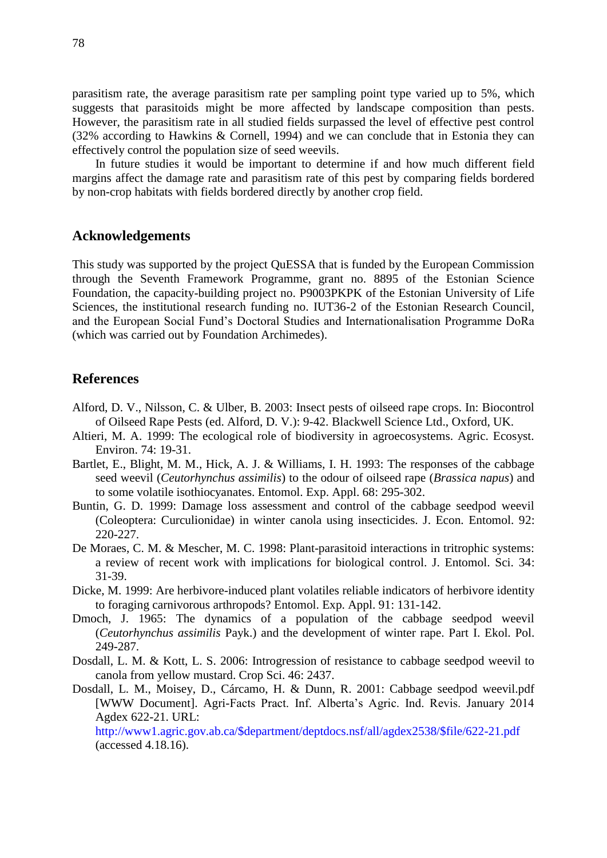parasitism rate, the average parasitism rate per sampling point type varied up to 5%, which suggests that parasitoids might be more affected by landscape composition than pests. However, the parasitism rate in all studied fields surpassed the level of effective pest control (32% according to Hawkins & Cornell, 1994) and we can conclude that in Estonia they can effectively control the population size of seed weevils.

In future studies it would be important to determine if and how much different field margins affect the damage rate and parasitism rate of this pest by comparing fields bordered by non-crop habitats with fields bordered directly by another crop field.

# **Acknowledgements**

This study was supported by the project QuESSA that is funded by the European Commission through the Seventh Framework Programme, grant no. 8895 of the Estonian Science Foundation, the capacity-building project no. P9003PKPK of the Estonian University of Life Sciences, the institutional research funding no. IUT36-2 of the Estonian Research Council, and the European Social Fund's Doctoral Studies and Internationalisation Programme DoRa (which was carried out by Foundation Archimedes).

# **References**

- Alford, D. V., Nilsson, C. & Ulber, B. 2003: Insect pests of oilseed rape crops. In: Biocontrol of Oilseed Rape Pests (ed. Alford, D. V.): 9-42. Blackwell Science Ltd., Oxford, UK.
- Altieri, M. A. 1999: The ecological role of biodiversity in agroecosystems. Agric. Ecosyst. Environ. 74: 19-31.
- Bartlet, E., Blight, M. M., Hick, A. J. & Williams, I. H. 1993: The responses of the cabbage seed weevil (*Ceutorhynchus assimilis*) to the odour of oilseed rape (*Brassica napus*) and to some volatile isothiocyanates. Entomol. Exp. Appl. 68: 295-302.
- Buntin, G. D. 1999: Damage loss assessment and control of the cabbage seedpod weevil (Coleoptera: Curculionidae) in winter canola using insecticides. J. Econ. Entomol. 92: 220-227.
- De Moraes, C. M. & Mescher, M. C. 1998: Plant-parasitoid interactions in tritrophic systems: a review of recent work with implications for biological control. J. Entomol. Sci. 34: 31-39.
- Dicke, M. 1999: Are herbivore-induced plant volatiles reliable indicators of herbivore identity to foraging carnivorous arthropods? Entomol. Exp. Appl. 91: 131-142.
- Dmoch, J. 1965: The dynamics of a population of the cabbage seedpod weevil (*Ceutorhynchus assimilis* Payk.) and the development of winter rape. Part I. Ekol. Pol. 249-287.
- Dosdall, L. M. & Kott, L. S. 2006: Introgression of resistance to cabbage seedpod weevil to canola from yellow mustard. Crop Sci. 46: 2437.
- Dosdall, L. M., Moisey, D., Cárcamo, H. & Dunn, R. 2001: Cabbage seedpod weevil.pdf [WWW Document]. Agri-Facts Pract. Inf. Alberta's Agric. Ind. Revis. January 2014 Agdex 622-21. URL:

http://www1.agric.gov.ab.ca/\$department/deptdocs.nsf/all/agdex2538/\$file/622-21.pdf (accessed 4.18.16).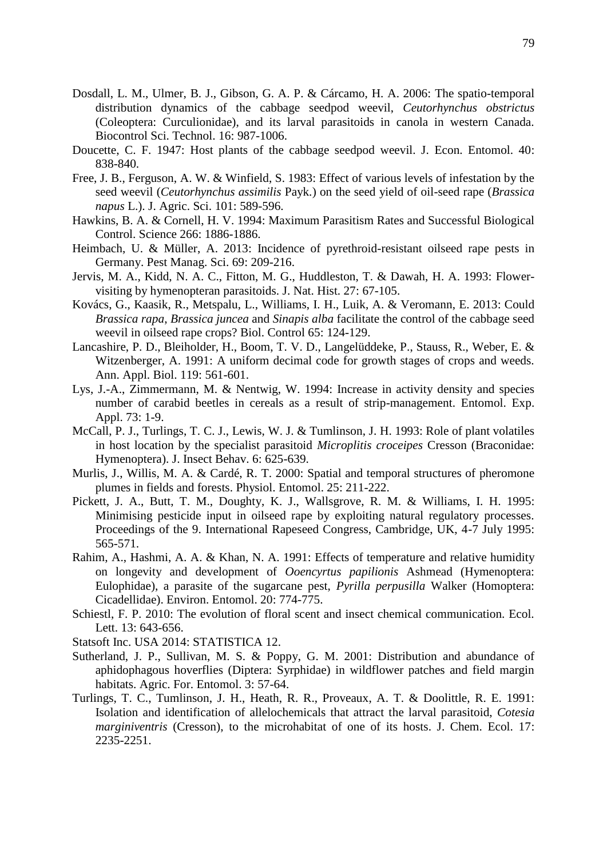- Dosdall, L. M., Ulmer, B. J., Gibson, G. A. P. & Cárcamo, H. A. 2006: The spatio-temporal distribution dynamics of the cabbage seedpod weevil, *Ceutorhynchus obstrictus* (Coleoptera: Curculionidae), and its larval parasitoids in canola in western Canada. Biocontrol Sci. Technol. 16: 987-1006.
- Doucette, C. F. 1947: Host plants of the cabbage seedpod weevil. J. Econ. Entomol. 40: 838-840.
- Free, J. B., Ferguson, A. W. & Winfield, S. 1983: Effect of various levels of infestation by the seed weevil (*Ceutorhynchus assimilis* Payk.) on the seed yield of oil-seed rape (*Brassica napus* L.). J. Agric. Sci. 101: 589-596.
- Hawkins, B. A. & Cornell, H. V. 1994: Maximum Parasitism Rates and Successful Biological Control. Science 266: 1886-1886.
- Heimbach, U. & Müller, A. 2013: Incidence of pyrethroid-resistant oilseed rape pests in Germany. Pest Manag. Sci. 69: 209-216.
- Jervis, M. A., Kidd, N. A. C., Fitton, M. G., Huddleston, T. & Dawah, H. A. 1993: Flowervisiting by hymenopteran parasitoids. J. Nat. Hist. 27: 67-105.
- Kovács, G., Kaasik, R., Metspalu, L., Williams, I. H., Luik, A. & Veromann, E. 2013: Could *Brassica rapa*, *Brassica juncea* and *Sinapis alba* facilitate the control of the cabbage seed weevil in oilseed rape crops? Biol. Control 65: 124-129.
- Lancashire, P. D., Bleiholder, H., Boom, T. V. D., Langelüddeke, P., Stauss, R., Weber, E. & Witzenberger, A. 1991: A uniform decimal code for growth stages of crops and weeds. Ann. Appl. Biol. 119: 561-601.
- Lys, J.-A., Zimmermann, M. & Nentwig, W. 1994: Increase in activity density and species number of carabid beetles in cereals as a result of strip-management. Entomol. Exp. Appl. 73: 1-9.
- McCall, P. J., Turlings, T. C. J., Lewis, W. J. & Tumlinson, J. H. 1993: Role of plant volatiles in host location by the specialist parasitoid *Microplitis croceipes* Cresson (Braconidae: Hymenoptera). J. Insect Behav. 6: 625-639.
- Murlis, J., Willis, M. A. & Cardé, R. T. 2000: Spatial and temporal structures of pheromone plumes in fields and forests. Physiol. Entomol. 25: 211-222.
- Pickett, J. A., Butt, T. M., Doughty, K. J., Wallsgrove, R. M. & Williams, I. H. 1995: Minimising pesticide input in oilseed rape by exploiting natural regulatory processes. Proceedings of the 9. International Rapeseed Congress, Cambridge, UK, 4-7 July 1995: 565-571.
- Rahim, A., Hashmi, A. A. & Khan, N. A. 1991: Effects of temperature and relative humidity on longevity and development of *Ooencyrtus papilionis* Ashmead (Hymenoptera: Eulophidae), a parasite of the sugarcane pest, *Pyrilla perpusilla* Walker (Homoptera: Cicadellidae). Environ. Entomol. 20: 774-775.
- Schiestl, F. P. 2010: The evolution of floral scent and insect chemical communication. Ecol. Lett. 13: 643-656.

Statsoft Inc. USA 2014: STATISTICA 12.

- Sutherland, J. P., Sullivan, M. S. & Poppy, G. M. 2001: Distribution and abundance of aphidophagous hoverflies (Diptera: Syrphidae) in wildflower patches and field margin habitats. Agric. For. Entomol. 3: 57-64.
- Turlings, T. C., Tumlinson, J. H., Heath, R. R., Proveaux, A. T. & Doolittle, R. E. 1991: Isolation and identification of allelochemicals that attract the larval parasitoid, *Cotesia marginiventris* (Cresson), to the microhabitat of one of its hosts. J. Chem. Ecol. 17: 2235-2251.